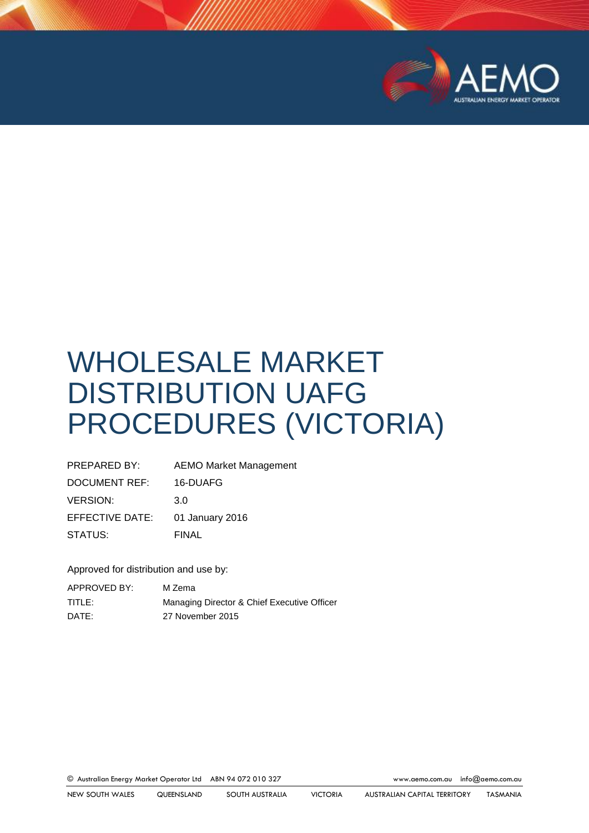

# WHOLESALE MARKET DISTRIBUTION UAFG PROCEDURES (VICTORIA)

| PREPARED BY:    | <b>AEMO Market Management</b> |
|-----------------|-------------------------------|
| DOCUMENT REF:   | 16-DUAFG                      |
| <b>VERSION:</b> | 3.0                           |
| EFFECTIVE DATE: | 01 January 2016               |
| STATUS:         | <b>FINAL</b>                  |

Approved for distribution and use by:

| APPROVED BY: | M Zema                                      |
|--------------|---------------------------------------------|
| TITLE:       | Managing Director & Chief Executive Officer |
| DATE:        | 27 November 2015                            |

© Australian Energy Market Operator Ltd ABN 94 072 010 327 [www.aemo.com.au](http://www.aemo.com.au/) [info@aemo.com.au](mailto:info@aemo.com.au)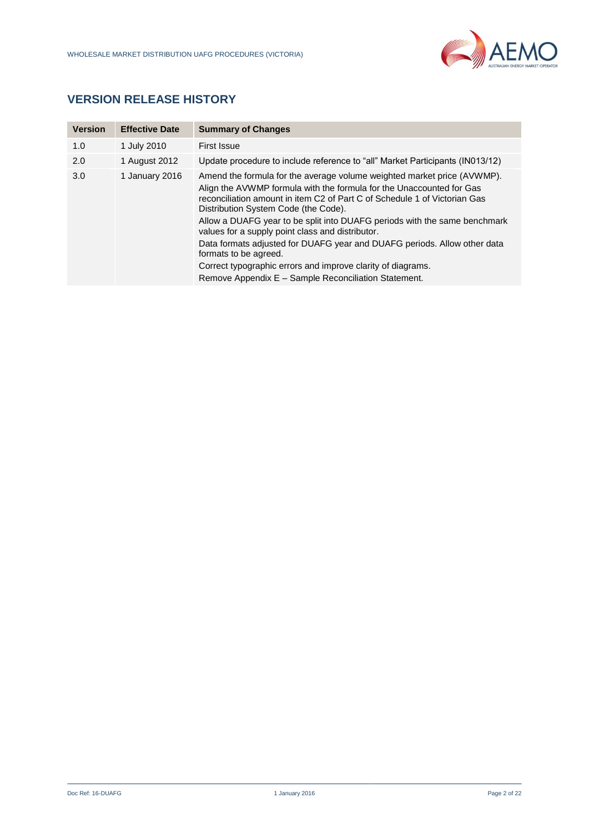

# **VERSION RELEASE HISTORY**

| <b>Version</b> | <b>Effective Date</b> | <b>Summary of Changes</b>                                                                                                                                                                                                                                                                                                                                                                             |
|----------------|-----------------------|-------------------------------------------------------------------------------------------------------------------------------------------------------------------------------------------------------------------------------------------------------------------------------------------------------------------------------------------------------------------------------------------------------|
| 1.0            | 1 July 2010           | First Issue                                                                                                                                                                                                                                                                                                                                                                                           |
| 2.0            | 1 August 2012         | Update procedure to include reference to "all" Market Participants (IN013/12)                                                                                                                                                                                                                                                                                                                         |
| 3.0            | 1 January 2016        | Amend the formula for the average volume weighted market price (AVWMP).<br>Align the AVWMP formula with the formula for the Unaccounted for Gas<br>reconciliation amount in item C2 of Part C of Schedule 1 of Victorian Gas<br>Distribution System Code (the Code).<br>Allow a DUAFG year to be split into DUAFG periods with the same benchmark<br>values for a supply point class and distributor. |
|                |                       | Data formats adjusted for DUAFG year and DUAFG periods. Allow other data<br>formats to be agreed.                                                                                                                                                                                                                                                                                                     |
|                |                       | Correct typographic errors and improve clarity of diagrams.<br>Remove Appendix E - Sample Reconciliation Statement.                                                                                                                                                                                                                                                                                   |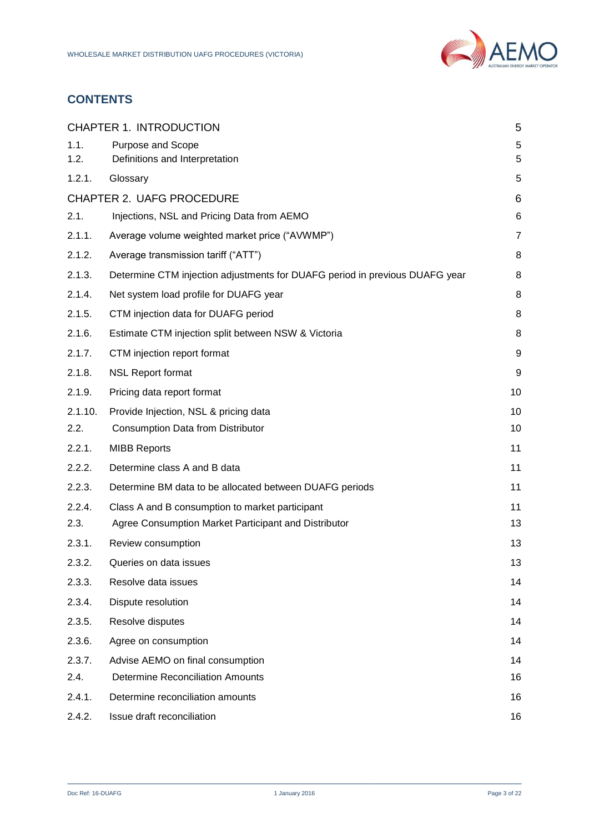

# **CONTENTS**

|              | <b>CHAPTER 1. INTRODUCTION</b>                                              | 5              |  |  |
|--------------|-----------------------------------------------------------------------------|----------------|--|--|
| 1.1.<br>1.2. | Purpose and Scope<br>Definitions and Interpretation                         | 5<br>5         |  |  |
| 1.2.1.       | Glossary                                                                    | 5              |  |  |
|              | <b>CHAPTER 2. UAFG PROCEDURE</b>                                            | 6              |  |  |
| 2.1.         | Injections, NSL and Pricing Data from AEMO                                  | 6              |  |  |
| 2.1.1.       | Average volume weighted market price ("AVWMP")                              | $\overline{7}$ |  |  |
| 2.1.2.       | Average transmission tariff ("ATT")                                         | 8              |  |  |
| 2.1.3.       | Determine CTM injection adjustments for DUAFG period in previous DUAFG year | 8              |  |  |
| 2.1.4.       | Net system load profile for DUAFG year                                      | 8              |  |  |
| 2.1.5.       | CTM injection data for DUAFG period                                         | 8              |  |  |
| 2.1.6.       | Estimate CTM injection split between NSW & Victoria                         | 8              |  |  |
| 2.1.7.       | CTM injection report format                                                 | 9              |  |  |
| 2.1.8.       | <b>NSL Report format</b>                                                    | 9              |  |  |
| 2.1.9.       | Pricing data report format<br>10                                            |                |  |  |
| 2.1.10.      | Provide Injection, NSL & pricing data                                       | 10             |  |  |
| 2.2.         | <b>Consumption Data from Distributor</b>                                    | 10             |  |  |
| 2.2.1.       | 11<br><b>MIBB Reports</b>                                                   |                |  |  |
| 2.2.2.       | Determine class A and B data<br>11                                          |                |  |  |
| 2.2.3.       | Determine BM data to be allocated between DUAFG periods                     | 11             |  |  |
| 2.2.4.       | Class A and B consumption to market participant                             | 11             |  |  |
| 2.3.         | Agree Consumption Market Participant and Distributor                        | 13             |  |  |
| 2.3.1.       | Review consumption                                                          | 13             |  |  |
| 2.3.2.       | Queries on data issues                                                      | 13             |  |  |
| 2.3.3.       | Resolve data issues                                                         | 14             |  |  |
| 2.3.4.       | Dispute resolution                                                          | 14             |  |  |
| 2.3.5.       | Resolve disputes<br>14                                                      |                |  |  |
| 2.3.6.       | Agree on consumption                                                        | 14             |  |  |
| 2.3.7.       | Advise AEMO on final consumption                                            | 14             |  |  |
| 2.4.         | <b>Determine Reconciliation Amounts</b>                                     | 16             |  |  |
| 2.4.1.       | Determine reconciliation amounts<br>16                                      |                |  |  |
| 2.4.2.       | Issue draft reconciliation                                                  | 16             |  |  |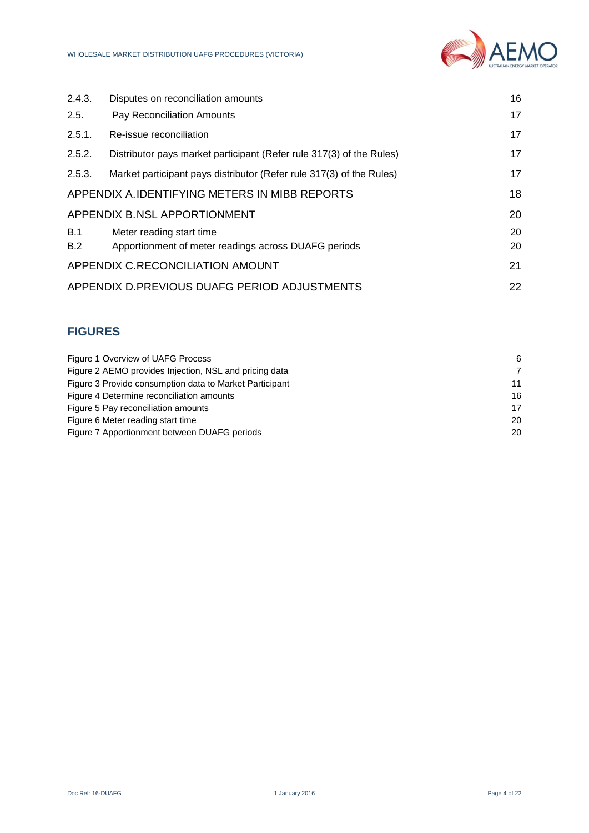| 2.4.3.                                 | Disputes on reconciliation amounts                                               | 16       |
|----------------------------------------|----------------------------------------------------------------------------------|----------|
| 2.5.                                   | Pay Reconciliation Amounts                                                       | 17       |
| 2.5.1.                                 | Re-issue reconciliation                                                          | 17       |
| 2.5.2.                                 | Distributor pays market participant (Refer rule 317(3) of the Rules)             | 17       |
| 2.5.3.                                 | Market participant pays distributor (Refer rule 317(3) of the Rules)             | 17       |
|                                        | APPENDIX A. IDENTIFYING METERS IN MIBB REPORTS                                   | 18       |
|                                        | <b>APPENDIX B.NSL APPORTIONMENT</b>                                              | 20       |
| B.1<br>B.2                             | Meter reading start time<br>Apportionment of meter readings across DUAFG periods | 20<br>20 |
| APPENDIX C.RECONCILIATION AMOUNT<br>21 |                                                                                  |          |
|                                        | APPENDIX D.PREVIOUS DUAFG PERIOD ADJUSTMENTS                                     | 22       |

## **FIGURES**

| Figure 1 Overview of UAFG Process                       | 6              |
|---------------------------------------------------------|----------------|
| Figure 2 AEMO provides Injection, NSL and pricing data  | $\overline{7}$ |
| Figure 3 Provide consumption data to Market Participant | 11             |
| Figure 4 Determine reconciliation amounts               | 16             |
| Figure 5 Pay reconciliation amounts                     | 17             |
| Figure 6 Meter reading start time                       | 20             |
| Figure 7 Apportionment between DUAFG periods            | 20             |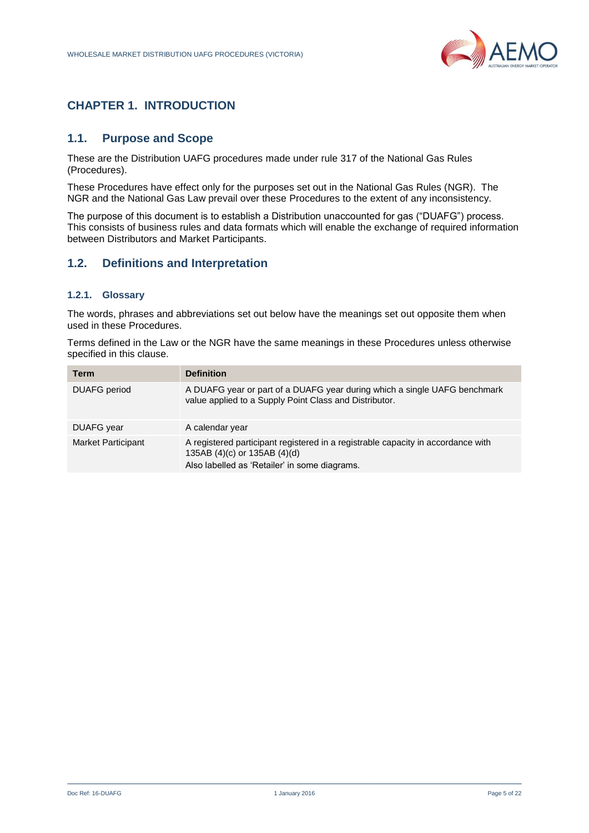

# <span id="page-4-0"></span>**CHAPTER 1. INTRODUCTION**

## <span id="page-4-1"></span>**1.1. Purpose and Scope**

These are the Distribution UAFG procedures made under rule 317 of the National Gas Rules (Procedures).

These Procedures have effect only for the purposes set out in the National Gas Rules (NGR). The NGR and the National Gas Law prevail over these Procedures to the extent of any inconsistency.

The purpose of this document is to establish a Distribution unaccounted for gas ("DUAFG") process. This consists of business rules and data formats which will enable the exchange of required information between Distributors and Market Participants.

## <span id="page-4-2"></span>**1.2. Definitions and Interpretation**

## <span id="page-4-3"></span>**1.2.1. Glossary**

The words, phrases and abbreviations set out below have the meanings set out opposite them when used in these Procedures.

Terms defined in the Law or the NGR have the same meanings in these Procedures unless otherwise specified in this clause.

| Term                      | <b>Definition</b>                                                                                                                                                 |
|---------------------------|-------------------------------------------------------------------------------------------------------------------------------------------------------------------|
| <b>DUAFG</b> period       | A DUAFG year or part of a DUAFG year during which a single UAFG benchmark<br>value applied to a Supply Point Class and Distributor.                               |
| DUAFG year                | A calendar year                                                                                                                                                   |
| <b>Market Participant</b> | A registered participant registered in a registrable capacity in accordance with<br>135AB (4)(c) or 135AB (4)(d)<br>Also labelled as 'Retailer' in some diagrams. |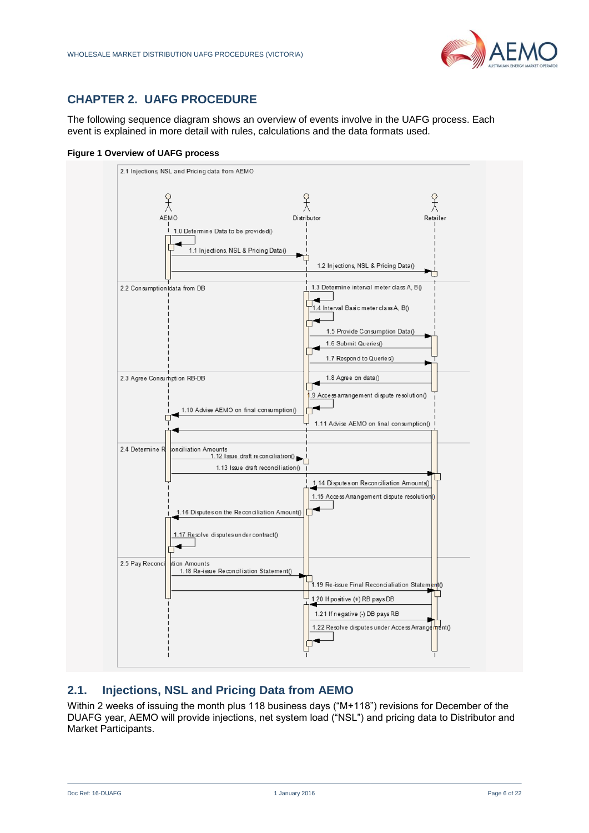

# <span id="page-5-0"></span>**CHAPTER 2. UAFG PROCEDURE**

The following sequence diagram shows an overview of events involve in the UAFG process. Each event is explained in more detail with rules, calculations and the data formats used.

#### <span id="page-5-2"></span>**Figure 1 Overview of UAFG process**



## <span id="page-5-1"></span>**2.1. Injections, NSL and Pricing Data from AEMO**

Within 2 weeks of issuing the month plus 118 business days ("M+118") revisions for December of the DUAFG year, AEMO will provide injections, net system load ("NSL") and pricing data to Distributor and Market Participants.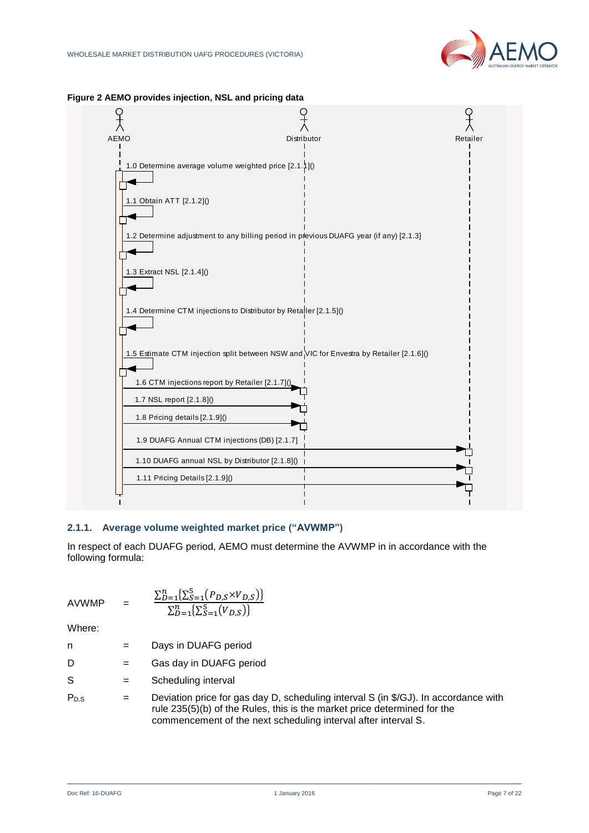



#### <span id="page-6-1"></span>**Figure 2 AEMO provides injection, NSL and pricing data**

## <span id="page-6-0"></span>**2.1.1. Average volume weighted market price ("AVWMP")**

In respect of each DUAFG period, AEMO must determine the AVWMP in in accordance with the following formula:

AVWMP =

$$
= \frac{\sum_{D=1}^{n} \{ \sum_{S=1}^{5} (P_{D,S} \times V_{D,S}) \}}{\sum_{D=1}^{n} \{ \sum_{S=1}^{5} (V_{D,S}) \}}
$$

- n = Days in DUAFG period
- D = Gas day in DUAFG period
- S = Scheduling interval
- $P_{D,S}$  = Deviation price for gas day D, scheduling interval S (in \$/GJ). In accordance with rule 235(5)(b) of the Rules, this is the market price determined for the commencement of the next scheduling interval after interval S.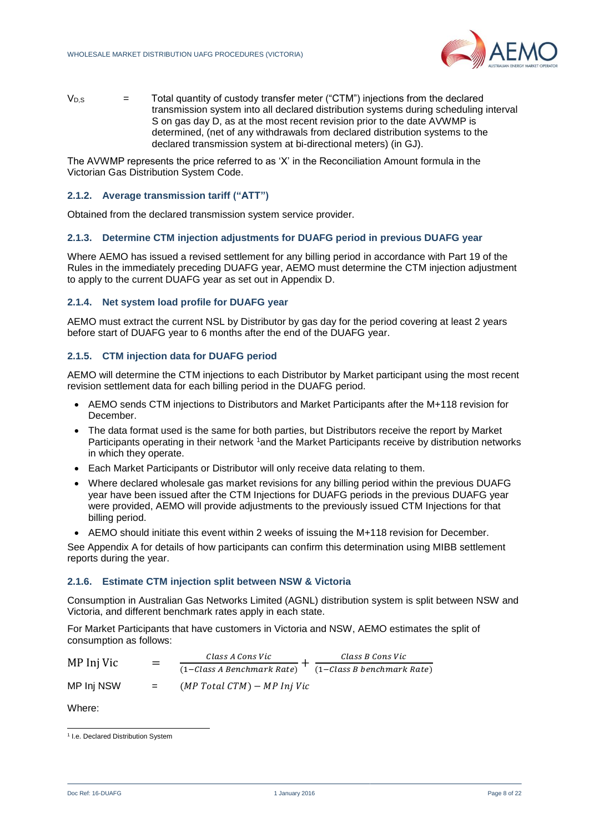

 $V_{D,S}$  = Total quantity of custody transfer meter ("CTM") injections from the declared transmission system into all declared distribution systems during scheduling interval S on gas day D, as at the most recent revision prior to the date AVWMP is determined, (net of any withdrawals from declared distribution systems to the declared transmission system at bi-directional meters) (in GJ).

The AVWMP represents the price referred to as 'X' in the Reconciliation Amount formula in the Victorian Gas Distribution System Code.

## <span id="page-7-0"></span>**2.1.2. Average transmission tariff ("ATT")**

Obtained from the declared transmission system service provider.

#### <span id="page-7-1"></span>**2.1.3. Determine CTM injection adjustments for DUAFG period in previous DUAFG year**

Where AEMO has issued a revised settlement for any billing period in accordance with Part 19 of the Rules in the immediately preceding DUAFG year, AEMO must determine the CTM injection adjustment to apply to the current DUAFG year as set out in Appendix D.

## <span id="page-7-2"></span>**2.1.4. Net system load profile for DUAFG year**

AEMO must extract the current NSL by Distributor by gas day for the period covering at least 2 years before start of DUAFG year to 6 months after the end of the DUAFG year.

## <span id="page-7-3"></span>**2.1.5. CTM injection data for DUAFG period**

AEMO will determine the CTM injections to each Distributor by Market participant using the most recent revision settlement data for each billing period in the DUAFG period.

- AEMO sends CTM injections to Distributors and Market Participants after the M+118 revision for December.
- The data format used is the same for both parties, but Distributors receive the report by Market Participants operating in their network 1 and the Market Participants receive by distribution networks in which they operate.
- Each Market Participants or Distributor will only receive data relating to them.
- Where declared wholesale gas market revisions for any billing period within the previous DUAFG year have been issued after the CTM Injections for DUAFG periods in the previous DUAFG year were provided, AEMO will provide adjustments to the previously issued CTM Injections for that billing period.
- AEMO should initiate this event within 2 weeks of issuing the M+118 revision for December.

See Appendix A for details of how participants can confirm this determination using MIBB settlement reports during the year.

## <span id="page-7-4"></span>**2.1.6. Estimate CTM injection split between NSW & Victoria**

Consumption in Australian Gas Networks Limited (AGNL) distribution system is split between NSW and Victoria, and different benchmark rates apply in each state.

For Market Participants that have customers in Victoria and NSW, AEMO estimates the split of consumption as follows:

MP Inj Vic = Class A Cons Vic  $\frac{1}{(1-\text{Class }A\text{ }B\text{ }en\text{ }c\text{ }h\text{ }m\text{ }a\text{ }r\text{ }k\text{ }at} + \frac{1}{(1-\text{Class }B\text{ }b\text{ }en\text{ }c\text{ }h\text{ }m\text{ }a\text{ }r\text{ }k\text{ }at}\$ Class B Cons Vic MP Inj NSW  $=$   $(MP Total CTM) - MP Inj Vic$ 

l <sup>1</sup> I.e. Declared Distribution System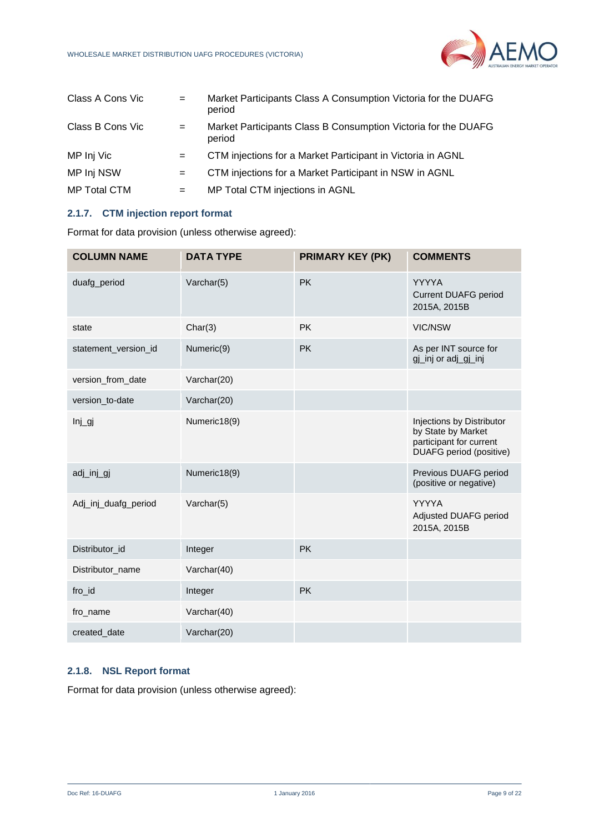

| Class A Cons Vic    | $=$ | Market Participants Class A Consumption Victoria for the DUAFG<br>period |
|---------------------|-----|--------------------------------------------------------------------------|
| Class B Cons Vic    | $=$ | Market Participants Class B Consumption Victoria for the DUAFG<br>period |
| MP Inj Vic          |     | CTM injections for a Market Participant in Victoria in AGNL              |
| MP Inj NSW          | $=$ | CTM injections for a Market Participant in NSW in AGNL                   |
| <b>MP Total CTM</b> | $=$ | MP Total CTM injections in AGNL                                          |

## <span id="page-8-0"></span>**2.1.7. CTM injection report format**

Format for data provision (unless otherwise agreed):

| <b>COLUMN NAME</b>   | <b>DATA TYPE</b> | <b>PRIMARY KEY (PK)</b> | <b>COMMENTS</b>                                                                                              |
|----------------------|------------------|-------------------------|--------------------------------------------------------------------------------------------------------------|
| duafg_period         | Varchar(5)       | <b>PK</b>               | <b>YYYYA</b><br><b>Current DUAFG period</b><br>2015A, 2015B                                                  |
| state                | Char(3)          | <b>PK</b>               | <b>VIC/NSW</b>                                                                                               |
| statement_version_id | Numeric(9)       | <b>PK</b>               | As per INT source for<br>gj_inj or adj_gj_inj                                                                |
| version_from_date    | Varchar(20)      |                         |                                                                                                              |
| version_to-date      | Varchar(20)      |                         |                                                                                                              |
| Inj                  | Numeric18(9)     |                         | Injections by Distributor<br>by State by Market<br>participant for current<br><b>DUAFG</b> period (positive) |
| adj_inj_gj           | Numeric18(9)     |                         | Previous DUAFG period<br>(positive or negative)                                                              |
| Adj_inj_duafg_period | Varchar(5)       |                         | <b>YYYYA</b><br>Adjusted DUAFG period<br>2015A, 2015B                                                        |
| Distributor_id       | Integer          | <b>PK</b>               |                                                                                                              |
| Distributor_name     | Varchar(40)      |                         |                                                                                                              |
| fro_id               | Integer          | <b>PK</b>               |                                                                                                              |
| fro_name             | Varchar(40)      |                         |                                                                                                              |
| created_date         | Varchar(20)      |                         |                                                                                                              |

## <span id="page-8-1"></span>**2.1.8. NSL Report format**

Format for data provision (unless otherwise agreed):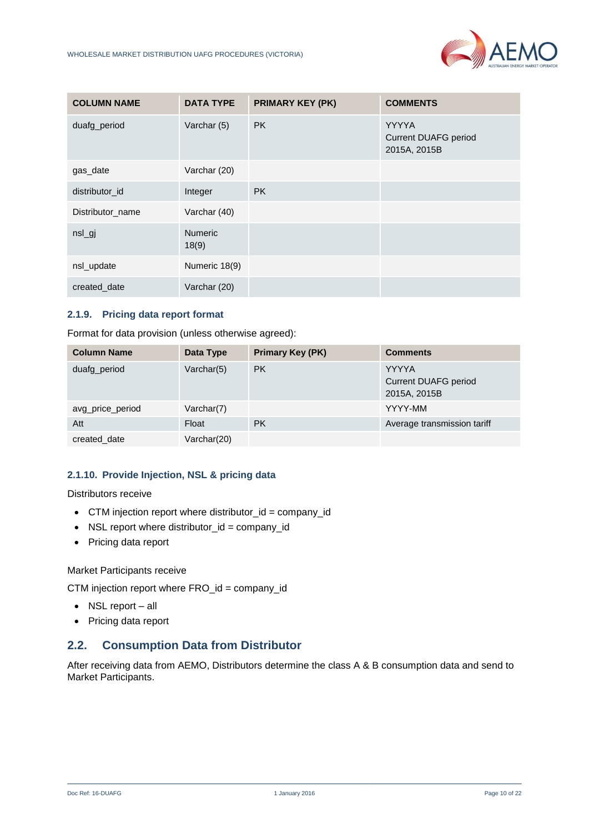

| <b>COLUMN NAME</b> | <b>DATA TYPE</b>        | <b>PRIMARY KEY (PK)</b> | <b>COMMENTS</b>                                             |
|--------------------|-------------------------|-------------------------|-------------------------------------------------------------|
| duafg_period       | Varchar (5)             | <b>PK</b>               | <b>YYYYA</b><br><b>Current DUAFG period</b><br>2015A, 2015B |
| gas_date           | Varchar (20)            |                         |                                                             |
| distributor id     | Integer                 | <b>PK</b>               |                                                             |
| Distributor_name   | Varchar (40)            |                         |                                                             |
| $nsL$ gj           | <b>Numeric</b><br>18(9) |                         |                                                             |
| nsl_update         | Numeric 18(9)           |                         |                                                             |
| created_date       | Varchar (20)            |                         |                                                             |

## <span id="page-9-0"></span>**2.1.9. Pricing data report format**

Format for data provision (unless otherwise agreed):

| <b>Column Name</b> | Data Type   | <b>Primary Key (PK)</b> | <b>Comments</b>                                             |
|--------------------|-------------|-------------------------|-------------------------------------------------------------|
| duafg_period       | Varchar(5)  | <b>PK</b>               | <b>YYYYA</b><br><b>Current DUAFG period</b><br>2015A, 2015B |
| avg_price_period   | Varchar(7)  |                         | YYYY-MM                                                     |
| Att                | Float       | <b>PK</b>               | Average transmission tariff                                 |
| created date       | Varchar(20) |                         |                                                             |

## <span id="page-9-1"></span>**2.1.10. Provide Injection, NSL & pricing data**

Distributors receive

- CTM injection report where distributor\_id = company\_id
- NSL report where distributor\_id = company\_id
- Pricing data report

Market Participants receive

CTM injection report where FRO\_id = company\_id

- NSL report all
- Pricing data report

## <span id="page-9-2"></span>**2.2. Consumption Data from Distributor**

After receiving data from AEMO, Distributors determine the class A & B consumption data and send to Market Participants.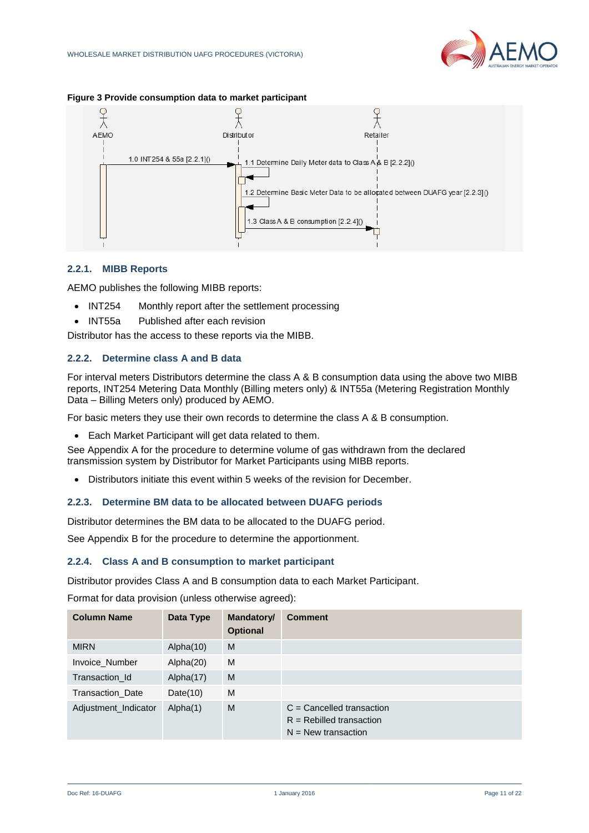

#### <span id="page-10-4"></span>**Figure 3 Provide consumption data to market participant**



## <span id="page-10-0"></span>**2.2.1. MIBB Reports**

AEMO publishes the following MIBB reports:

- INT254 Monthly report after the settlement processing
- INT55a Published after each revision

Distributor has the access to these reports via the MIBB.

## <span id="page-10-1"></span>**2.2.2. Determine class A and B data**

For interval meters Distributors determine the class A & B consumption data using the above two MIBB reports, INT254 Metering Data Monthly (Billing meters only) & INT55a (Metering Registration Monthly Data – Billing Meters only) produced by AEMO.

For basic meters they use their own records to determine the class A & B consumption.

Each Market Participant will get data related to them.

See Appendix A for the procedure to determine volume of gas withdrawn from the declared transmission system by Distributor for Market Participants using MIBB reports.

Distributors initiate this event within 5 weeks of the revision for December.

## <span id="page-10-2"></span>**2.2.3. Determine BM data to be allocated between DUAFG periods**

Distributor determines the BM data to be allocated to the DUAFG period.

See Appendix B for the procedure to determine the apportionment.

## <span id="page-10-3"></span>**2.2.4. Class A and B consumption to market participant**

Distributor provides Class A and B consumption data to each Market Participant.

Format for data provision (unless otherwise agreed):

| <b>Column Name</b>      | Data Type   | Mandatory/<br><b>Optional</b> | <b>Comment</b>                                                                     |
|-------------------------|-------------|-------------------------------|------------------------------------------------------------------------------------|
| <b>MIRN</b>             | Alpha(10)   | M                             |                                                                                    |
| Invoice Number          | Alpha(20)   | M                             |                                                                                    |
| Transaction Id          | Alpha(17)   | M                             |                                                                                    |
| <b>Transaction Date</b> | Date $(10)$ | M                             |                                                                                    |
| Adjustment_Indicator    | Alpha(1)    | M                             | $C =$ Cancelled transaction<br>$R =$ Rebilled transaction<br>$N =$ New transaction |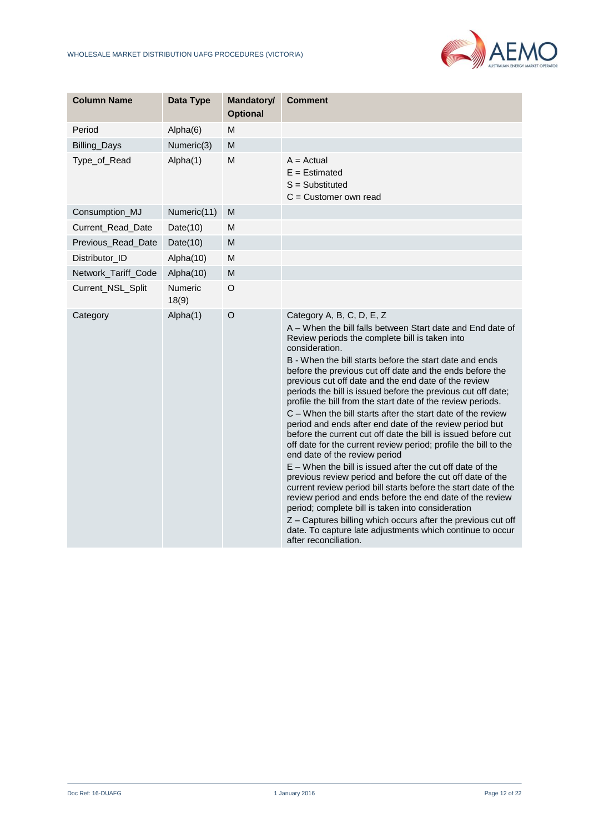

| <b>Column Name</b>  | Data Type               | <b>Mandatory/</b><br><b>Optional</b> | <b>Comment</b>                                                                                                                                                                                                                                                                                                                                                                                                                                                                                                                                                                                                                                                                                                                                                                                                                                                                                                                                                                                                                                                                                                                                                                                                                              |
|---------------------|-------------------------|--------------------------------------|---------------------------------------------------------------------------------------------------------------------------------------------------------------------------------------------------------------------------------------------------------------------------------------------------------------------------------------------------------------------------------------------------------------------------------------------------------------------------------------------------------------------------------------------------------------------------------------------------------------------------------------------------------------------------------------------------------------------------------------------------------------------------------------------------------------------------------------------------------------------------------------------------------------------------------------------------------------------------------------------------------------------------------------------------------------------------------------------------------------------------------------------------------------------------------------------------------------------------------------------|
| Period              | Alpha(6)                | M                                    |                                                                                                                                                                                                                                                                                                                                                                                                                                                                                                                                                                                                                                                                                                                                                                                                                                                                                                                                                                                                                                                                                                                                                                                                                                             |
| Billing_Days        | Numeric(3)              | M                                    |                                                                                                                                                                                                                                                                                                                                                                                                                                                                                                                                                                                                                                                                                                                                                                                                                                                                                                                                                                                                                                                                                                                                                                                                                                             |
| Type_of_Read        | Alpha(1)                | M                                    | $A = Actual$<br>$E =$ Estimated<br>$S =$ Substituted<br>C = Customer own read                                                                                                                                                                                                                                                                                                                                                                                                                                                                                                                                                                                                                                                                                                                                                                                                                                                                                                                                                                                                                                                                                                                                                               |
| Consumption_MJ      | Numeric(11)             | M                                    |                                                                                                                                                                                                                                                                                                                                                                                                                                                                                                                                                                                                                                                                                                                                                                                                                                                                                                                                                                                                                                                                                                                                                                                                                                             |
| Current_Read_Date   | Date $(10)$             | M                                    |                                                                                                                                                                                                                                                                                                                                                                                                                                                                                                                                                                                                                                                                                                                                                                                                                                                                                                                                                                                                                                                                                                                                                                                                                                             |
| Previous_Read_Date  | Date $(10)$             | M                                    |                                                                                                                                                                                                                                                                                                                                                                                                                                                                                                                                                                                                                                                                                                                                                                                                                                                                                                                                                                                                                                                                                                                                                                                                                                             |
| Distributor_ID      | Alpha(10)               | M                                    |                                                                                                                                                                                                                                                                                                                                                                                                                                                                                                                                                                                                                                                                                                                                                                                                                                                                                                                                                                                                                                                                                                                                                                                                                                             |
| Network_Tariff_Code | Alpha(10)               | M                                    |                                                                                                                                                                                                                                                                                                                                                                                                                                                                                                                                                                                                                                                                                                                                                                                                                                                                                                                                                                                                                                                                                                                                                                                                                                             |
| Current_NSL_Split   | <b>Numeric</b><br>18(9) | $\circ$                              |                                                                                                                                                                                                                                                                                                                                                                                                                                                                                                                                                                                                                                                                                                                                                                                                                                                                                                                                                                                                                                                                                                                                                                                                                                             |
| Category            | Alpha(1)                | $\circ$                              | Category A, B, C, D, E, Z<br>A - When the bill falls between Start date and End date of<br>Review periods the complete bill is taken into<br>consideration.<br>B - When the bill starts before the start date and ends<br>before the previous cut off date and the ends before the<br>previous cut off date and the end date of the review<br>periods the bill is issued before the previous cut off date;<br>profile the bill from the start date of the review periods.<br>C – When the bill starts after the start date of the review<br>period and ends after end date of the review period but<br>before the current cut off date the bill is issued before cut<br>off date for the current review period; profile the bill to the<br>end date of the review period<br>E – When the bill is issued after the cut off date of the<br>previous review period and before the cut off date of the<br>current review period bill starts before the start date of the<br>review period and ends before the end date of the review<br>period; complete bill is taken into consideration<br>Z – Captures billing which occurs after the previous cut off<br>date. To capture late adjustments which continue to occur<br>after reconciliation. |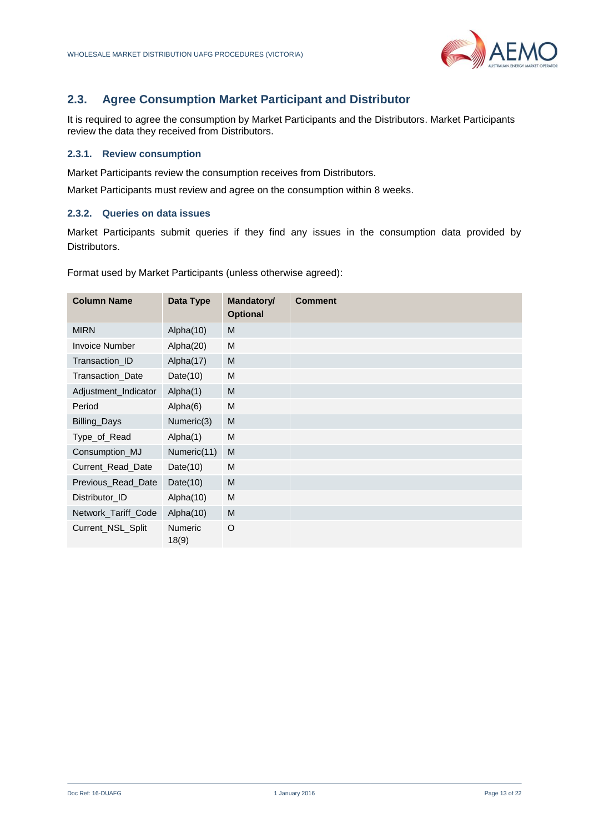

## <span id="page-12-0"></span>**2.3. Agree Consumption Market Participant and Distributor**

It is required to agree the consumption by Market Participants and the Distributors. Market Participants review the data they received from Distributors.

## <span id="page-12-1"></span>**2.3.1. Review consumption**

Market Participants review the consumption receives from Distributors.

Market Participants must review and agree on the consumption within 8 weeks.

## <span id="page-12-2"></span>**2.3.2. Queries on data issues**

Market Participants submit queries if they find any issues in the consumption data provided by Distributors.

Format used by Market Participants (unless otherwise agreed):

| <b>Column Name</b>    | Data Type               | Mandatory/<br><b>Optional</b> | <b>Comment</b> |
|-----------------------|-------------------------|-------------------------------|----------------|
| <b>MIRN</b>           | Alpha(10)               | M                             |                |
| <b>Invoice Number</b> | Alpha(20)               | M                             |                |
| Transaction_ID        | Alpha(17)               | M                             |                |
| Transaction_Date      | Date $(10)$             | M                             |                |
| Adjustment_Indicator  | Alpha(1)                | M                             |                |
| Period                | Alpha(6)                | M                             |                |
| Billing_Days          | Numeric(3)              | M                             |                |
| Type_of_Read          | Alpha(1)                | M                             |                |
| Consumption_MJ        | Numeric(11)             | M                             |                |
| Current_Read_Date     | Date $(10)$             | M                             |                |
| Previous_Read_Date    | Date $(10)$             | M                             |                |
| Distributor ID        | Alpha(10)               | M                             |                |
| Network_Tariff_Code   | Alpha(10)               | M                             |                |
| Current_NSL_Split     | <b>Numeric</b><br>18(9) | O                             |                |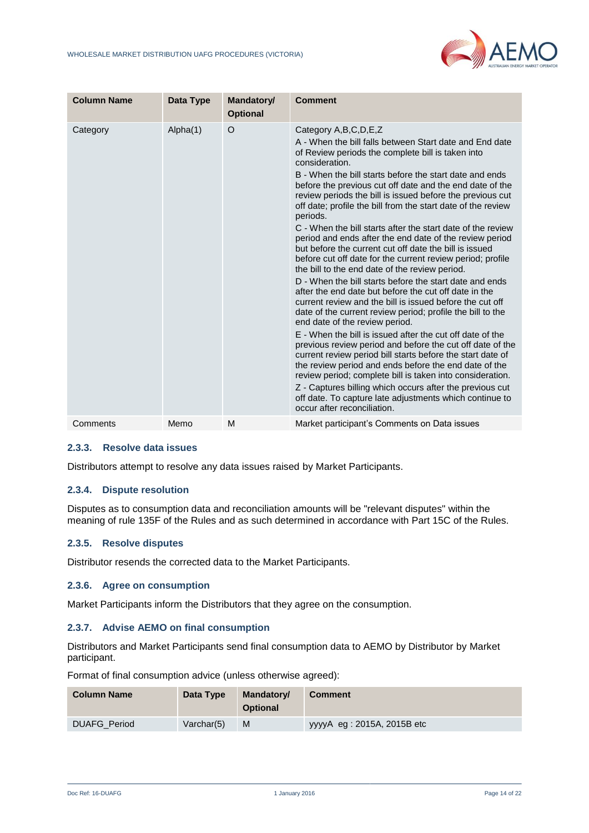

| <b>Column Name</b> | Data Type | Mandatory/<br><b>Optional</b> | <b>Comment</b>                                                                                                                                                                                                                                                                                                                                                                                                                                                                                                                                                                                                                                                                                                                                                                                                                                                                                                                                                                                                                                                                                                                                                                                                                                                                                                                                                                                                                                                                      |
|--------------------|-----------|-------------------------------|-------------------------------------------------------------------------------------------------------------------------------------------------------------------------------------------------------------------------------------------------------------------------------------------------------------------------------------------------------------------------------------------------------------------------------------------------------------------------------------------------------------------------------------------------------------------------------------------------------------------------------------------------------------------------------------------------------------------------------------------------------------------------------------------------------------------------------------------------------------------------------------------------------------------------------------------------------------------------------------------------------------------------------------------------------------------------------------------------------------------------------------------------------------------------------------------------------------------------------------------------------------------------------------------------------------------------------------------------------------------------------------------------------------------------------------------------------------------------------------|
| Category           | Alpha(1)  | $\circ$                       | Category A, B, C, D, E, Z<br>A - When the bill falls between Start date and End date<br>of Review periods the complete bill is taken into<br>consideration.<br>B - When the bill starts before the start date and ends<br>before the previous cut off date and the end date of the<br>review periods the bill is issued before the previous cut<br>off date; profile the bill from the start date of the review<br>periods.<br>C - When the bill starts after the start date of the review<br>period and ends after the end date of the review period<br>but before the current cut off date the bill is issued<br>before cut off date for the current review period; profile<br>the bill to the end date of the review period.<br>D - When the bill starts before the start date and ends<br>after the end date but before the cut off date in the<br>current review and the bill is issued before the cut off<br>date of the current review period; profile the bill to the<br>end date of the review period.<br>E - When the bill is issued after the cut off date of the<br>previous review period and before the cut off date of the<br>current review period bill starts before the start date of<br>the review period and ends before the end date of the<br>review period; complete bill is taken into consideration.<br>Z - Captures billing which occurs after the previous cut<br>off date. To capture late adjustments which continue to<br>occur after reconciliation. |
| Comments           | Memo      | M                             | Market participant's Comments on Data issues                                                                                                                                                                                                                                                                                                                                                                                                                                                                                                                                                                                                                                                                                                                                                                                                                                                                                                                                                                                                                                                                                                                                                                                                                                                                                                                                                                                                                                        |

## <span id="page-13-0"></span>**2.3.3. Resolve data issues**

Distributors attempt to resolve any data issues raised by Market Participants.

## <span id="page-13-1"></span>**2.3.4. Dispute resolution**

Disputes as to consumption data and reconciliation amounts will be "relevant disputes" within the meaning of rule 135F of the Rules and as such determined in accordance with Part 15C of the Rules.

## <span id="page-13-2"></span>**2.3.5. Resolve disputes**

Distributor resends the corrected data to the Market Participants.

## <span id="page-13-3"></span>**2.3.6. Agree on consumption**

Market Participants inform the Distributors that they agree on the consumption.

## <span id="page-13-4"></span>**2.3.7. Advise AEMO on final consumption**

Distributors and Market Participants send final consumption data to AEMO by Distributor by Market participant.

Format of final consumption advice (unless otherwise agreed):

| <b>Column Name</b>  | Data Type        | Mandatory/<br><b>Optional</b> | <b>Comment</b>             |
|---------------------|------------------|-------------------------------|----------------------------|
| <b>DUAFG Period</b> | $V$ archar $(5)$ | M                             | yyyyA eg: 2015A, 2015B etc |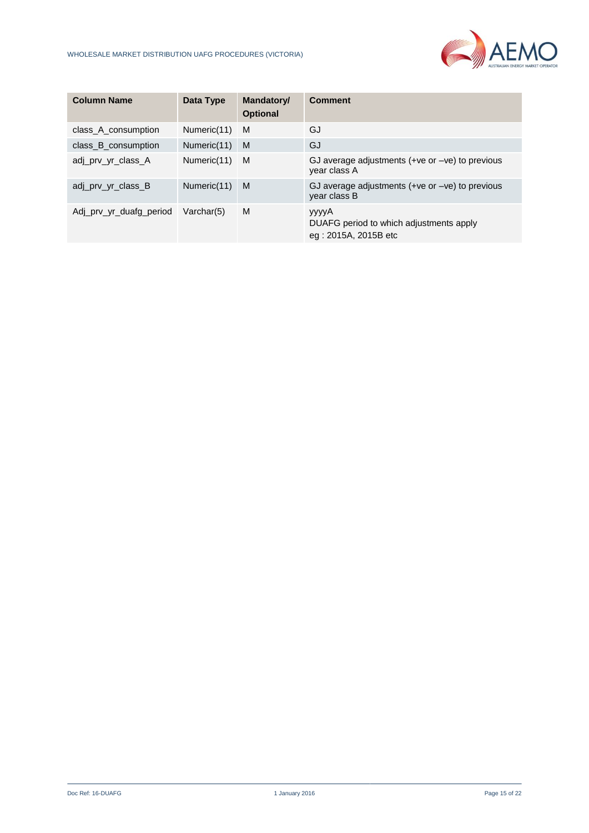

| <b>Column Name</b>      | Data Type        | Mandatory/<br><b>Optional</b> | <b>Comment</b>                                                           |
|-------------------------|------------------|-------------------------------|--------------------------------------------------------------------------|
| class_A_consumption     | Numeric(11)      | M                             | GJ                                                                       |
| class B consumption     | Numeric(11)      | M                             | GJ                                                                       |
| adj_prv_yr_class_A      | Numeric(11)      | M                             | GJ average adjustments $(+ve or -ve)$ to previous<br>year class A        |
| adj prv yr class B      | Numeric(11)      | M                             | GJ average adjustments $(+ve or -ve)$ to previous<br>year class B        |
| Adj prv yr duafg period | $V$ archar $(5)$ | M                             | yyyyA<br>DUAFG period to which adjustments apply<br>eg: 2015A, 2015B etc |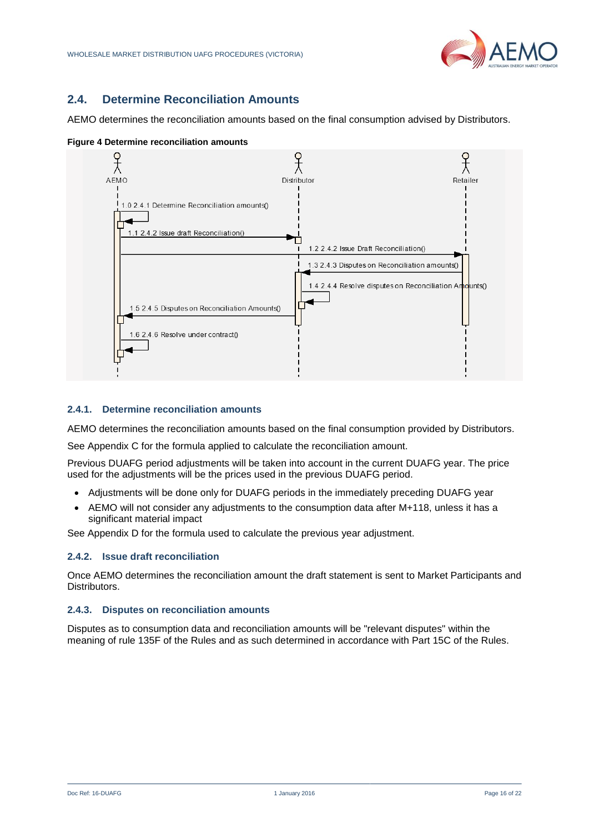

## <span id="page-15-0"></span>**2.4. Determine Reconciliation Amounts**

AEMO determines the reconciliation amounts based on the final consumption advised by Distributors.



<span id="page-15-4"></span>

## <span id="page-15-1"></span>**2.4.1. Determine reconciliation amounts**

AEMO determines the reconciliation amounts based on the final consumption provided by Distributors.

See Appendix C for the formula applied to calculate the reconciliation amount.

Previous DUAFG period adjustments will be taken into account in the current DUAFG year. The price used for the adjustments will be the prices used in the previous DUAFG period.

- Adjustments will be done only for DUAFG periods in the immediately preceding DUAFG year
- AEMO will not consider any adjustments to the consumption data after M+118, unless it has a significant material impact

See Appendix D for the formula used to calculate the previous year adjustment.

## <span id="page-15-2"></span>**2.4.2. Issue draft reconciliation**

Once AEMO determines the reconciliation amount the draft statement is sent to Market Participants and Distributors.

#### <span id="page-15-3"></span>**2.4.3. Disputes on reconciliation amounts**

Disputes as to consumption data and reconciliation amounts will be "relevant disputes" within the meaning of rule 135F of the Rules and as such determined in accordance with Part 15C of the Rules.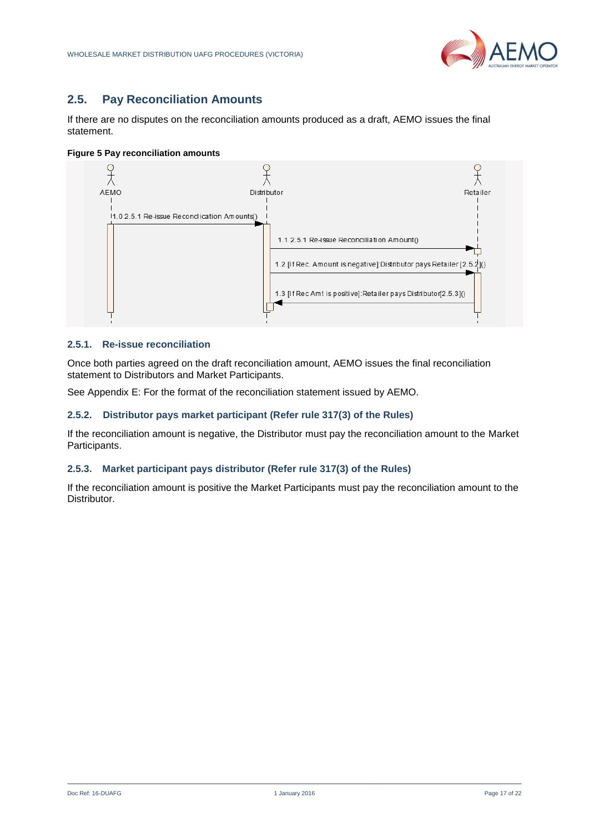

## <span id="page-16-0"></span>**2.5. Pay Reconciliation Amounts**

If there are no disputes on the reconciliation amounts produced as a draft, AEMO issues the final statement.

<span id="page-16-4"></span>**Figure 5 Pay reconciliation amounts**



## <span id="page-16-1"></span>**2.5.1. Re-issue reconciliation**

Once both parties agreed on the draft reconciliation amount, AEMO issues the final reconciliation statement to Distributors and Market Participants.

See Appendix E: For the format of the reconciliation statement issued by AEMO.

## <span id="page-16-2"></span>**2.5.2. Distributor pays market participant (Refer rule 317(3) of the Rules)**

If the reconciliation amount is negative, the Distributor must pay the reconciliation amount to the Market Participants.

## <span id="page-16-3"></span>**2.5.3. Market participant pays distributor (Refer rule 317(3) of the Rules)**

If the reconciliation amount is positive the Market Participants must pay the reconciliation amount to the Distributor.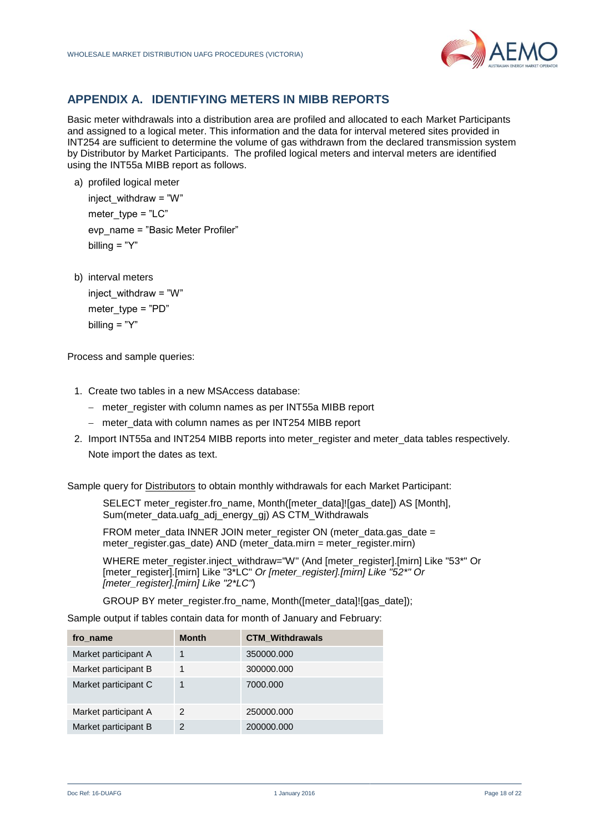

## <span id="page-17-0"></span>**APPENDIX A. IDENTIFYING METERS IN MIBB REPORTS**

Basic meter withdrawals into a distribution area are profiled and allocated to each Market Participants and assigned to a logical meter. This information and the data for interval metered sites provided in INT254 are sufficient to determine the volume of gas withdrawn from the declared transmission system by Distributor by Market Participants. The profiled logical meters and interval meters are identified using the INT55a MIBB report as follows.

a) profiled logical meter

inject withdraw =  $"W"$ meter\_type =  $"LC"$ evp\_name = "Basic Meter Profiler" billing = "Y"

b) interval meters

inject withdraw =  $"W"$ meter  $twoe = "PD"$ billing  $=$  "Y"

Process and sample queries:

- 1. Create two tables in a new MSAccess database:
	- meter register with column names as per INT55a MIBB report
	- meter\_data with column names as per INT254 MIBB report
- 2. Import INT55a and INT254 MIBB reports into meter\_register and meter\_data tables respectively. Note import the dates as text.

Sample query for Distributors to obtain monthly withdrawals for each Market Participant:

SELECT meter\_register.fro\_name, Month([meter\_data]![gas\_date]) AS [Month], Sum(meter\_data.uafg\_adj\_energy\_gj) AS CTM\_Withdrawals

FROM meter\_data INNER JOIN meter\_register ON (meter\_data.gas\_date = meter\_register.gas\_date) AND (meter\_data.mirn = meter\_register.mirn)

WHERE meter\_register.inject\_withdraw="W" (And [meter\_register].[mirn] Like "53\*" Or [meter\_register].[mirn] Like "3\*LC" *Or [meter\_register].[mirn] Like "52\*" Or [meter\_register].[mirn] Like "2\*LC"*)

GROUP BY meter\_register.fro\_name, Month([meter\_data]![gas\_date]);

Sample output if tables contain data for month of January and February:

| fro name             | <b>Month</b>  | <b>CTM Withdrawals</b> |
|----------------------|---------------|------------------------|
| Market participant A |               | 350000.000             |
| Market participant B |               | 300000.000             |
| Market participant C |               | 7000.000               |
| Market participant A | 2             | 250000.000             |
| Market participant B | $\mathcal{P}$ | 200000.000             |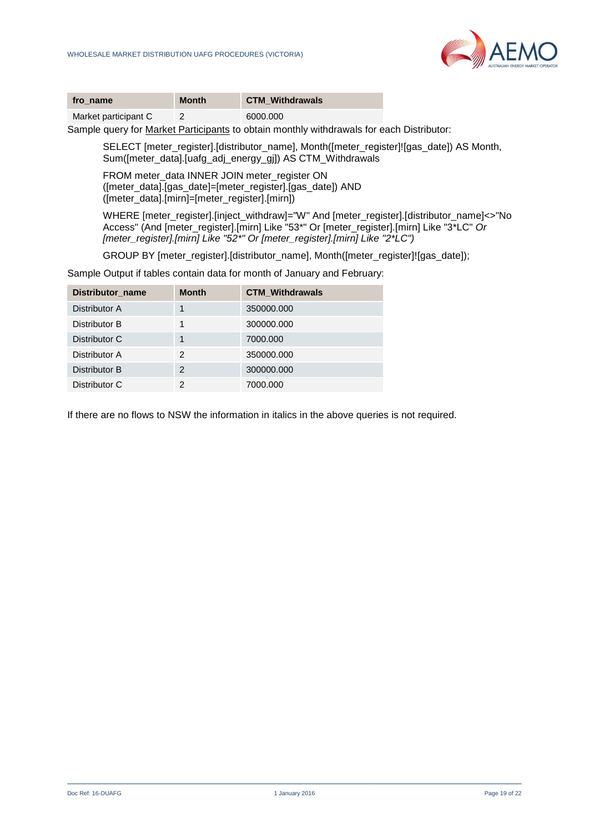

| fro name             | Month | <b>CTM Withdrawals</b> |
|----------------------|-------|------------------------|
| Market participant C |       | 6000.000               |

Sample query for Market Participants to obtain monthly withdrawals for each Distributor:

SELECT [meter\_register].[distributor\_name], Month([meter\_register]![gas\_date]) AS Month, Sum([meter\_data].[uafg\_adj\_energy\_gi]) AS CTM\_Withdrawals

FROM meter\_data INNER JOIN meter\_register ON ([meter\_data].[gas\_date]=[meter\_register].[gas\_date]) AND ([meter\_data].[mirn]=[meter\_register].[mirn])

WHERE [meter\_register].[inject\_withdraw]="W" And [meter\_register].[distributor\_name]<>"No Access" (And [meter\_register].[mirn] Like "53\*" Or [meter\_register].[mirn] Like "3\*LC" *Or [meter\_register].[mirn] Like "52\*" Or [meter\_register].[mirn] Like "2\*LC")*

GROUP BY Imeter\_register].[distributor\_name], Month(Imeter\_register]![gas\_date]);

Sample Output if tables contain data for month of January and February:

| Distributor name | <b>Month</b> | <b>CTM Withdrawals</b> |
|------------------|--------------|------------------------|
| Distributor A    |              | 350000.000             |
| Distributor B    |              | 300000.000             |
| Distributor C    |              | 7000.000               |
| Distributor A    | 2            | 350000.000             |
| Distributor B    | 2            | 300000.000             |
| Distributor C    | 2            | 7000.000               |

If there are no flows to NSW the information in italics in the above queries is not required.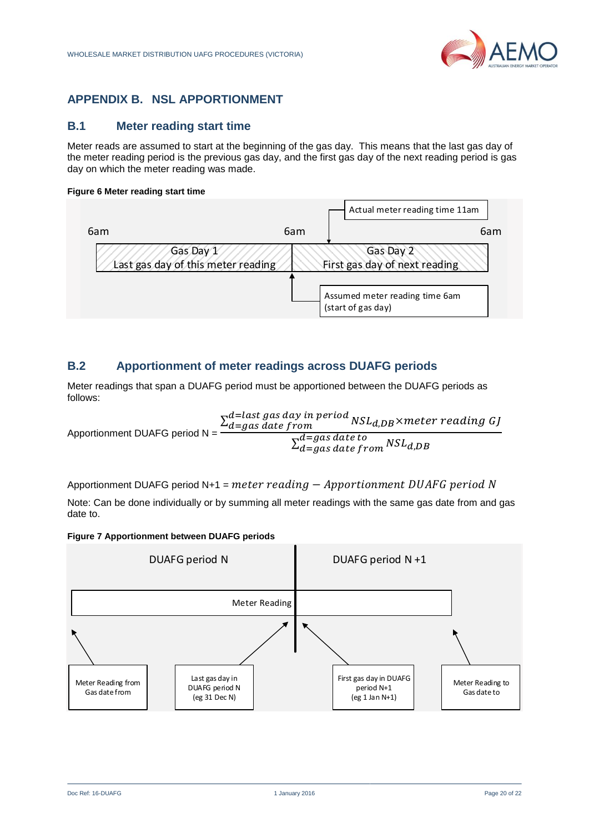

# <span id="page-19-0"></span>**APPENDIX B. NSL APPORTIONMENT**

## <span id="page-19-1"></span>**B.1 Meter reading start time**

Meter reads are assumed to start at the beginning of the gas day. This means that the last gas day of the meter reading period is the previous gas day, and the first gas day of the next reading period is gas day on which the meter reading was made.

## <span id="page-19-3"></span>**Figure 6 Meter reading start time**



## <span id="page-19-2"></span>**B.2 Apportionment of meter readings across DUAFG periods**

Meter readings that span a DUAFG period must be apportioned between the DUAFG periods as follows:

Applicationment DUAFG period N = 

\n
$$
\frac{\sum_{d=gas \, date \, from}^{d=last \, gas \, day \, in \, period} \, NSL_{d,DB} \times meter \, reading \, GJ}{\sum_{d=gas \, date \, from}^{d=gas \, date \, to} \, NSL_{d,DB}}
$$

Apportionment DUAFG period N+1 = meter reading  $-$  Apportionment DUAFG period N

Note: Can be done individually or by summing all meter readings with the same gas date from and gas date to.

<span id="page-19-4"></span>

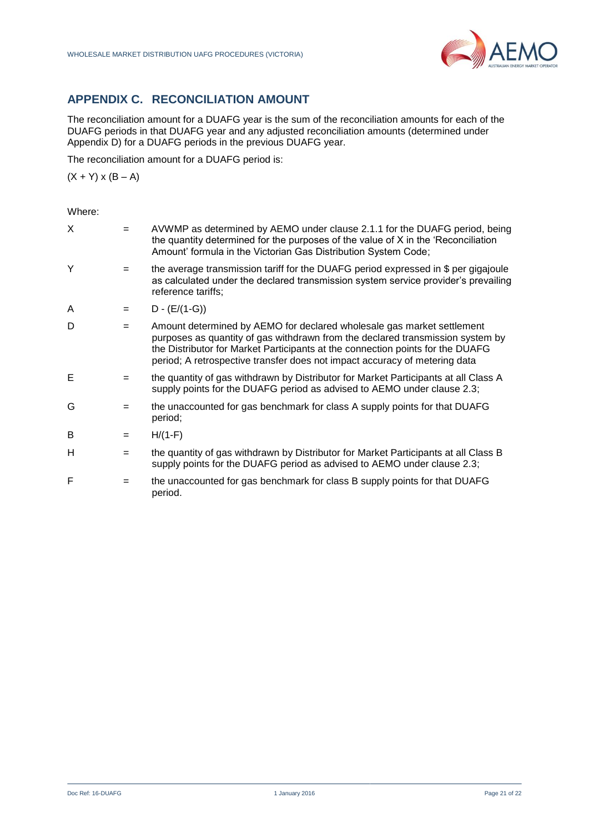

# <span id="page-20-0"></span>**APPENDIX C. RECONCILIATION AMOUNT**

The reconciliation amount for a DUAFG year is the sum of the reconciliation amounts for each of the DUAFG periods in that DUAFG year and any adjusted reconciliation amounts (determined under Appendix D) for a DUAFG periods in the previous DUAFG year.

The reconciliation amount for a DUAFG period is:

 $(X + Y) \times (B - A)$ 

| X | $=$ | AVWMP as determined by AEMO under clause 2.1.1 for the DUAFG period, being<br>the quantity determined for the purposes of the value of X in the 'Reconciliation'<br>Amount' formula in the Victorian Gas Distribution System Code;                                                                                       |
|---|-----|--------------------------------------------------------------------------------------------------------------------------------------------------------------------------------------------------------------------------------------------------------------------------------------------------------------------------|
| Y | $=$ | the average transmission tariff for the DUAFG period expressed in \$ per gigajoule<br>as calculated under the declared transmission system service provider's prevailing<br>reference tariffs;                                                                                                                           |
| A | $=$ | $D - (E/(1-G))$                                                                                                                                                                                                                                                                                                          |
| D | $=$ | Amount determined by AEMO for declared wholesale gas market settlement<br>purposes as quantity of gas withdrawn from the declared transmission system by<br>the Distributor for Market Participants at the connection points for the DUAFG<br>period; A retrospective transfer does not impact accuracy of metering data |
| Е |     | the quantity of gas withdrawn by Distributor for Market Participants at all Class A<br>supply points for the DUAFG period as advised to AEMO under clause 2.3;                                                                                                                                                           |
| G | $=$ | the unaccounted for gas benchmark for class A supply points for that DUAFG<br>period;                                                                                                                                                                                                                                    |
| в | $=$ | $H/(1-F)$                                                                                                                                                                                                                                                                                                                |
| H | $=$ | the quantity of gas withdrawn by Distributor for Market Participants at all Class B<br>supply points for the DUAFG period as advised to AEMO under clause 2.3;                                                                                                                                                           |
| F |     | the unaccounted for gas benchmark for class B supply points for that DUAFG<br>period.                                                                                                                                                                                                                                    |